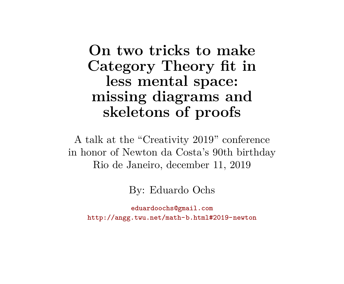# **On two tricks to make Category Theory fit in less mental space: missing diagrams and skeletons of proofs**

A talk at the "Creativity 2019" conference in honor of Newton da Costa's 90th birthday Rio de Janeiro, december 11, 2019

By: Eduardo Ochs

eduardoochs@gmail.com <http://angg.twu.net/math-b.html#2019-newton>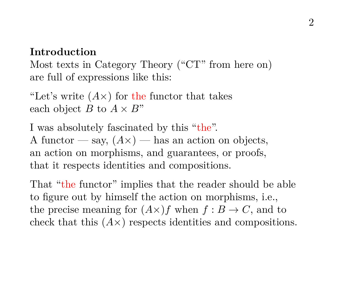### **Introduction**

Most texts in Category Theory ("CT" from here on) are full of expressions like this:

"Let's write  $(A \times)$  for the functor that takes each object B to  $A \times B$ "

I was absolutely fascinated by this "the". A functor — say,  $(A \times)$  — has an action on objects, an action on morphisms, and guarantees, or proofs, that it respects identities and compositions.

That "the functor" implies that the reader should be able to figure out by himself the action on morphisms, i.e., the precise meaning for  $(A\times)f$  when  $f : B \to C$ , and to check that this  $(A \times)$  respects identities and compositions.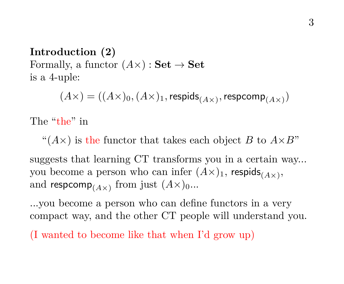# **Introduction (2)** Formally, a functor  $(A\times)$ : Set  $\rightarrow$  Set is a 4-uple:

$$
(A\times)=((A\times)_0,(A\times)_1,\mathsf{respids}_{(A\times)},\mathsf{respcomp}_{(A\times)})
$$

The "the" in

" $(A \times)$  is the functor that takes each object B to  $A \times B$ "

suggests that learning CT transforms you in a certain way... you become a person who can infer  $(A\times)_1$ , respids<sub> $(A\times)$ </sub>, and respcom $\mathsf{p}_{(A\times)}$  from just  $(A\times)_{0}...$ 

...you become a person who can define functors in a very compact way, and the other CT people will understand you.

(I wanted to become like that when I'd grow up)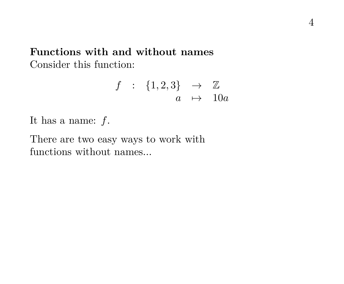#### **Functions with and without names** Consider this function:

$$
f : \{1,2,3\} \rightarrow \mathbb{Z} \n a \mapsto 10a
$$

It has a name:  $f$ .

There are two easy ways to work with functions without names...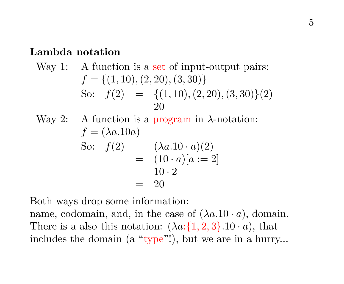#### **Lambda notation**

Way 1: A function is a set of input-output pairs:

\n
$$
f = \{(1, 10), (2, 20), (3, 30)\}
$$
\nSo:

\n
$$
f(2) = \{(1, 10), (2, 20), (3, 30)\}(2)
$$
\n
$$
= 20
$$

Way 2: A function is a program in  $\lambda$ -notation:  $f = (\lambda a.10a)$ So:  $f(2) = (\lambda a.10 \cdot a)(2)$  $= (10 \cdot a)[a := 2]$  $= 10 \quad \Omega$ 

$$
= 20
$$

Both ways drop some information:

name, codomain, and, in the case of  $(\lambda a.10 \cdot a)$ , domain. There is a also this notation:  $(\lambda a:\{1,2,3\}.10 \cdot a)$ , that includes the domain (a "type"!), but we are in a hurry...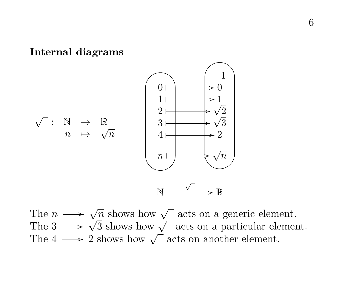#### **Internal diagrams**



The  $n \mapsto \sqrt{n}$  shows how  $\sqrt{\ }$  acts on a generic element. The  $n \mapsto \sqrt{n}$  shows how  $\sqrt{\ }$  acts on a generic element.<br>The  $3 \mapsto \sqrt{3}$  shows how  $\sqrt{\ }$  acts on a particular element. The  $3 \rightarrow \sqrt{3}$  shows how  $\sqrt{\phantom{0}}$  acts on a particular element.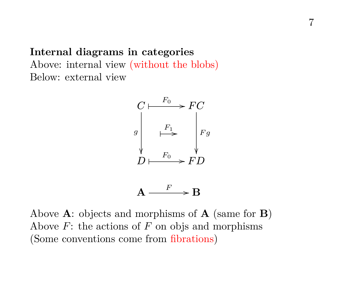## **Internal diagrams in categories** Above: internal view (without the blobs)

Below: external view



$$
\mathbf{A} \xrightarrow{F} \mathbf{B}
$$

Above  $\mathbf{A}$ : objects and morphisms of  $\mathbf{A}$  (same for  $\mathbf{B}$ ) Above  $F$ : the actions of  $F$  on objs and morphisms (Some conventions come from fibrations)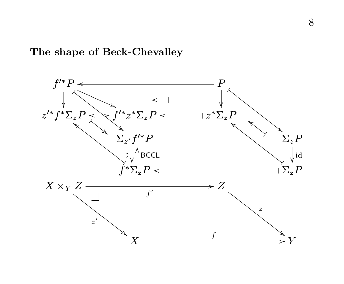#### **The shape of Beck-Chevalley**

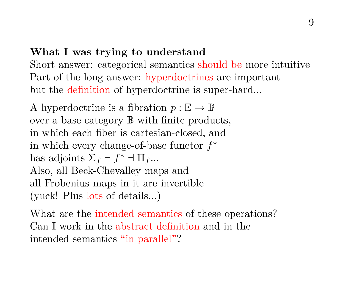### **What I was trying to understand**

Short answer: categorical semantics should be more intuitive Part of the long answer: hyperdoctrines are important but the definition of hyperdoctrine is super-hard...

A hyperdoctrine is a fibration  $p : \mathbb{E} \to \mathbb{B}$ over a base category B with finite products, in which each fiber is cartesian-closed, and in which every change-of-base functor  $f^*$ has adjoints  $\Sigma_f \dashv f^* \dashv \Pi_f...$ Also, all Beck-Chevalley maps and all Frobenius maps in it are invertible (yuck! Plus lots of details...)

What are the intended semantics of these operations? Can I work in the abstract definition and in the intended semantics "in parallel"?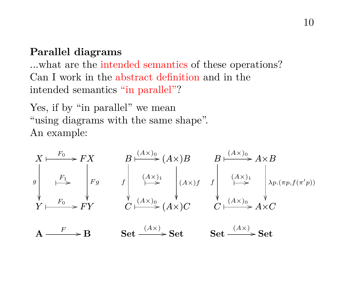#### **Parallel diagrams**

...what are the intended semantics of these operations? Can I work in the abstract definition and in the intended semantics "in parallel"?

Yes, if by "in parallel" we mean "using diagrams with the same shape". An example:

$$
X \xrightarrow{F_0} FX
$$
\n
$$
B \xrightarrow{A \times 0} B \xrightarrow{A \times 0} A \times B
$$
\n
$$
B \xrightarrow{F_1} F_2
$$
\n
$$
B \xrightarrow{A \times 0} A \times B
$$
\n
$$
B \xrightarrow{A \times 0} A \times B
$$
\n
$$
B \xrightarrow{A \times 0} A \times B
$$
\n
$$
B \xrightarrow{A \times 0} A \times B
$$
\n
$$
B \xrightarrow{A \times 0} A \times B
$$
\n
$$
B \xrightarrow{A \times 0} A \times B
$$
\n
$$
B \xrightarrow{A \times 0} A \times B
$$
\n
$$
C \xrightarrow{A \times 0} A \times C
$$
\n
$$
A \xrightarrow{F} B
$$
\n
$$
B \xrightarrow{A \times 0} A \times C
$$
\n
$$
B \xrightarrow{A \times 0} A \times C
$$
\n
$$
B \xrightarrow{A \times 0} A \times C
$$
\n
$$
B \xrightarrow{A \times 0} A \times C
$$
\n
$$
B \xrightarrow{A \times 0} A \times C
$$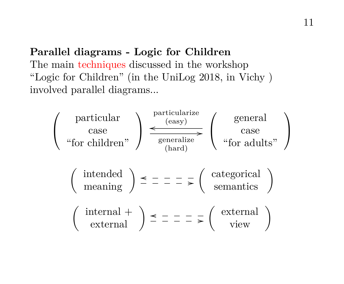**Parallel diagrams - Logic for Children** The main techniques discussed in the workshop "Logic for Children" (in the UniLog 2018, in Vichy ) involved parallel diagrams...

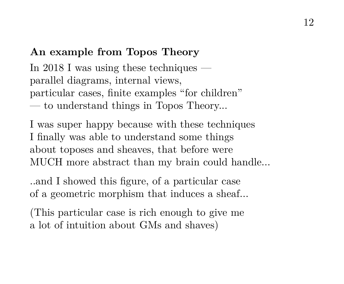### **An example from Topos Theory**

In 2018 I was using these techniques parallel diagrams, internal views, particular cases, finite examples "for children" — to understand things in Topos Theory...

I was super happy because with these techniques I finally was able to understand some things about toposes and sheaves, that before were MUCH more abstract than my brain could handle...

..and I showed this figure, of a particular case of a geometric morphism that induces a sheaf...

(This particular case is rich enough to give me a lot of intuition about GMs and shaves)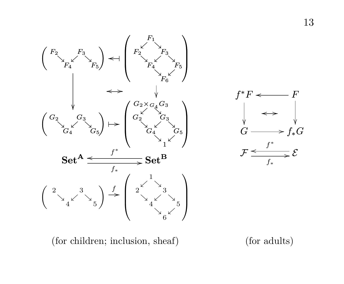



(for children; inclusion, sheaf) (for adults)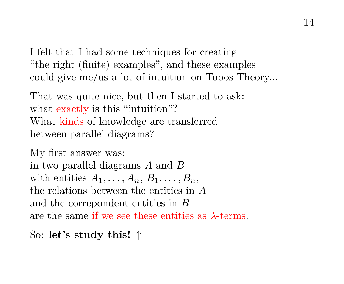I felt that I had some techniques for creating "the right (finite) examples", and these examples could give me/us a lot of intuition on Topos Theory...

That was quite nice, but then I started to ask: what exactly is this "intuition"? What kinds of knowledge are transferred between parallel diagrams?

My first answer was: in two parallel diagrams A and B with entities  $A_1, \ldots, A_n, B_1, \ldots, B_n$ , the relations between the entities in A and the correpondent entities in B are the same if we see these entities as  $\lambda$ -terms.

```
So: let's study this! ↑
```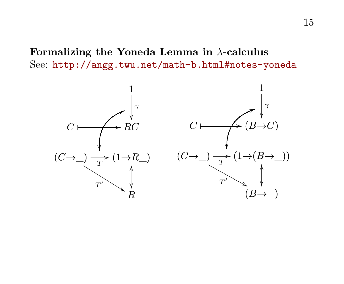### **Formalizing the Yoneda Lemma in** λ**-calculus** See: <http://angg.twu.net/math-b.html#notes-yoneda>

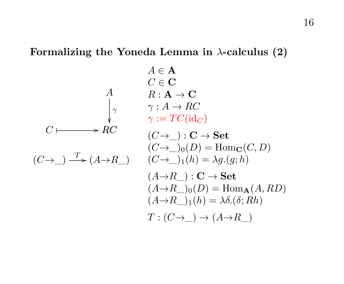# **Formalizing the Yoneda Lemma in** λ**-calculus (2)**

$$
A \in \mathbf{A}
$$
  
\n
$$
C \in \mathbf{C}
$$
  
\n
$$
A \qquad R: \mathbf{A} \to \mathbf{C}
$$
  
\n
$$
\gamma: A \to RC
$$
  
\n
$$
\gamma: A \to RC
$$
  
\n
$$
(C \to \_) : \mathbf{C} \to \mathbf{Set}
$$
  
\n
$$
(C \to \_) (D) = \text{Hom}_{\mathbf{C}}(C, D)
$$
  
\n
$$
(C \to \_) \xrightarrow{T} (A \to R \_) \qquad (C \to \_) (h) = \lambda g. (g; h)
$$
  
\n
$$
(A \to R \_) : \mathbf{C} \to \mathbf{Set}
$$
  
\n
$$
(A \to R \_) (D) = \text{Hom}_{\mathbf{A}}(A, RD)
$$
  
\n
$$
(A \to R \_) (h) = \lambda \delta. (\delta; Rh)
$$
  
\n
$$
T : (C \to \_) \to (A \to R \_)
$$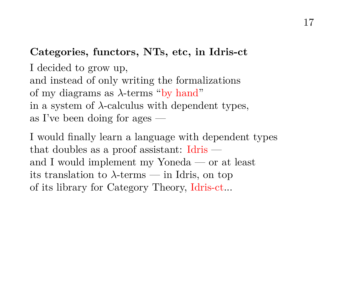### **Categories, functors, NTs, etc, in Idris-ct**

I decided to grow up, and instead of only writing the formalizations of my diagrams as  $\lambda$ -terms "by hand" in a system of  $\lambda$ -calculus with dependent types, as I've been doing for ages —

I would finally learn a language with dependent types that doubles as a proof assistant: Idris and I would implement my Yoneda — or at least its translation to  $\lambda$ -terms — in Idris, on top of its library for Category Theory, Idris-ct...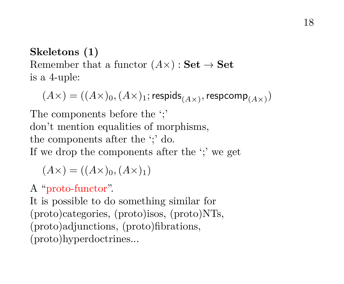# **Skeletons (1)** Remember that a functor  $(A \times)$ : Set  $\rightarrow$  Set is a 4-uple:

 $(A \times ) = ((A \times )_0, (A \times )_1;$  respids $_{(A \times )}$ , respcom $\mathsf{p}_{(A \times )})$ 

The components before the ';' don't mention equalities of morphisms, the components after the ';' do. If we drop the components after the ';' we get

 $(A\times) = ((A\times)_{0}, (A\times)_{1})$ 

# A "proto-functor".

It is possible to do something similar for (proto)categories, (proto)isos, (proto)NTs, (proto)adjunctions, (proto)fibrations, (proto)hyperdoctrines...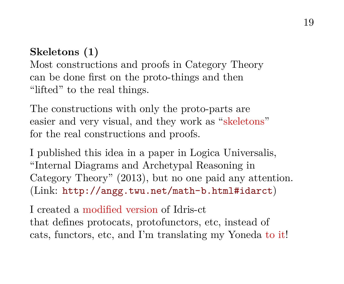### **Skeletons (1)**

Most constructions and proofs in Category Theory can be done first on the proto-things and then "lifted" to the real things.

The constructions with only the proto-parts are easier and very visual, and they work as "skeletons" for the real constructions and proofs.

I published this idea in a paper in Logica Universalis, "Internal Diagrams and Archetypal Reasoning in Category Theory" (2013), but no one paid any attention. (Link: <http://angg.twu.net/math-b.html#idarct>)

I created a modified version of Idris-ct that defines protocats, protofunctors, etc, instead of cats, functors, etc, and I'm translating my Yoneda to it!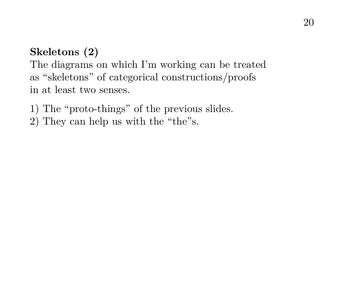### **Skeletons (2)**

The diagrams on which I'm working can be treated as "skeletons" of categorical constructions/proofs in at least two senses.

1) The "proto-things" of the previous slides.

2) They can help us with the "the"s.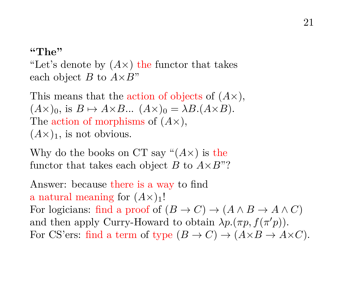#### **"The"**

"Let's denote by  $(A \times)$  the functor that takes each object B to  $A \times B$ "

This means that the action of objects of  $(A\times)$ ,  $(A\times)_{0}$ , is  $B\mapsto A\times B$ ...  $(A\times)_{0} = \lambda B.(A\times B)$ . The action of morphisms of  $(A \times)$ ,  $(A\times)$ <sub>1</sub>, is not obvious.

Why do the books on CT say " $(A \times)$  is the functor that takes each object B to  $A \times B$ "?

Answer: because there is a way to find a natural meaning for  $(A\times)_{1}!$ For logicians: find a proof of  $(B \to C) \to (A \land B \to A \land C)$ and then apply Curry-Howard to obtain  $\lambda p.(\pi p, f(\pi' p)).$ For CS'ers: find a term of type  $(B \to C) \to (A \times B \to A \times C)$ .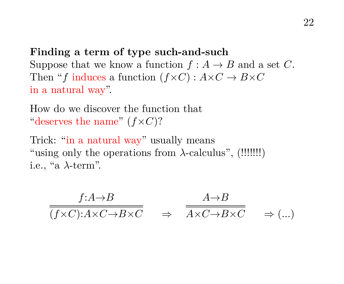**Finding a term of type such-and-such** Suppose that we know a function  $f : A \to B$  and a set C. Then "f induces a function  $(f \times C) : A \times C \rightarrow B \times C$ in a natural way".

How do we discover the function that "deserves the name"  $(f \times C)$ ?

Trick: "in a natural way" usually means "using only the operations from  $\lambda$ -calculus", (!!!!!!!) i.e., "a  $\lambda$ -term".

$$
\frac{f:A \to B}{(f \times C): A \times C \to B \times C} \quad \Rightarrow \quad \frac{A \to B}{A \times C \to B \times C} \quad \Rightarrow \quad (\dots)
$$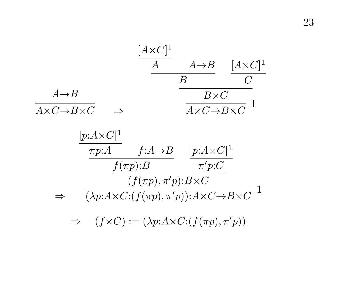$$
\frac{[A \times C]^1}{A} \xrightarrow{A \to B} \frac{[A \times C]^1}{C}
$$
\n
$$
\frac{B}{A \times C \to B \times C} \xrightarrow{B \times C} \frac{[A \times C]^1}{A \times C \to B \times C} \xrightarrow{B \times C}
$$

$$
\frac{[p:A\times C]^1}{\pi p:A} \quad f:A\to B \quad [p:A\times C]^1
$$
\n
$$
\xrightarrow{f(\pi p):B} \quad \frac{[p:A\times C]^1}{\pi'p:C}
$$
\n
$$
\Rightarrow \quad \overline{(\lambda p:A\times C:(f(\pi p), \pi' p)):A\times C\to B\times C} \quad 1
$$
\n
$$
\Rightarrow \quad (f\times C):=(\lambda p:A\times C:(f(\pi p), \pi' p))
$$